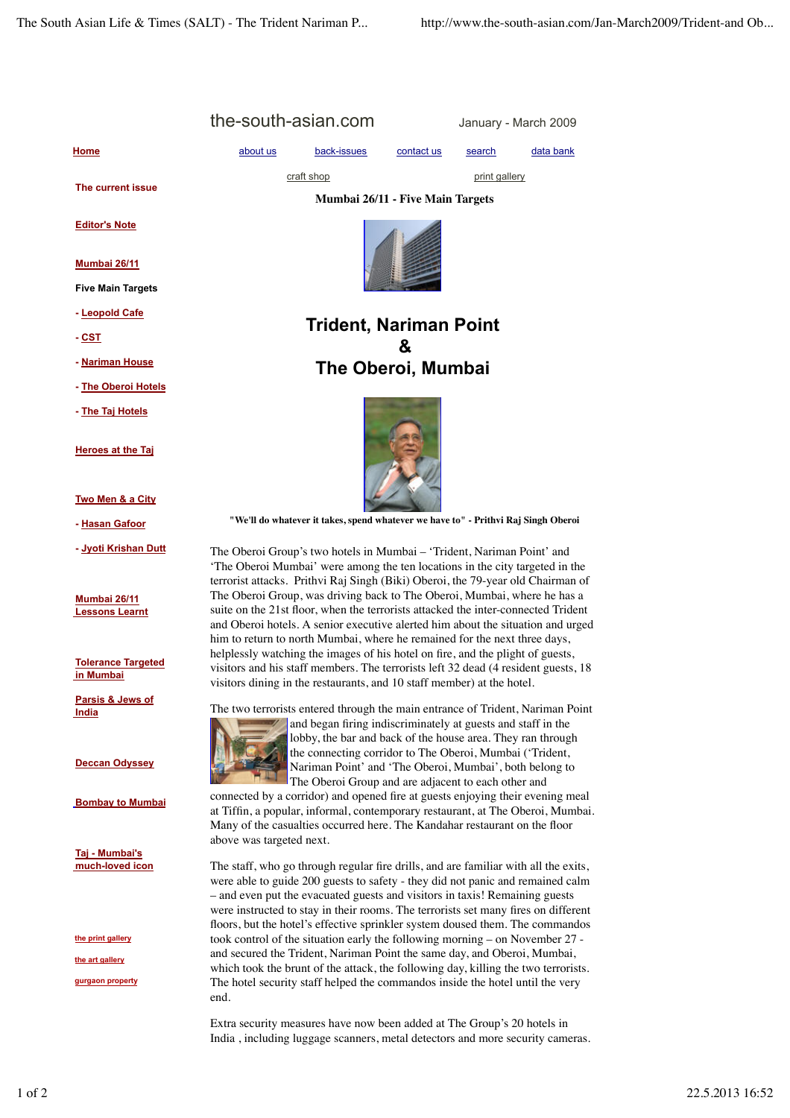## the-south-asian.com January - March 2009

**Home**

 **The current issue**

**Editor's Note**

**Mumbai 26/11**

**Five Main Targets**

- **Leopold Cafe**
- **CST**
- **Nariman House**
- **The Oberoi Hotels**
- **The Taj Hotels**

**Heroes at the Taj**

## **Two Men & a City**

 **- Hasan Gafoor**

 **- Jyoti Krishan Dutt**

**Mumbai 26/11 Lessons Learnt**

**Tolerance Targeted in Mumbai**

**Parsis & Jews of India**

**Deccan Odyssey**

**Bombay to Mumbai**

**Taj - Mumbai's much-loved icon**

**the print gallery**

**the art gallery**

**gurgaon property**





 about us back-issues contact us search data bank craft shop print gallery

## **Trident, Nariman Point & The Oberoi, Mumbai**



**"We'll do whatever it takes, spend whatever we have to" - Prithvi Raj Singh Oberoi**

The Oberoi Group's two hotels in Mumbai – 'Trident, Nariman Point' and 'The Oberoi Mumbai' were among the ten locations in the city targeted in the terrorist attacks. Prithvi Raj Singh (Biki) Oberoi, the 79-year old Chairman of The Oberoi Group, was driving back to The Oberoi, Mumbai, where he has a suite on the 21st floor, when the terrorists attacked the inter-connected Trident and Oberoi hotels. A senior executive alerted him about the situation and urged him to return to north Mumbai, where he remained for the next three days, helplessly watching the images of his hotel on fire, and the plight of guests, visitors and his staff members. The terrorists left 32 dead (4 resident guests, 18 visitors dining in the restaurants, and 10 staff member) at the hotel.



The two terrorists entered through the main entrance of Trident, Nariman Point and began firing indiscriminately at guests and staff in the lobby, the bar and back of the house area. They ran through the connecting corridor to The Oberoi, Mumbai ('Trident, Nariman Point' and 'The Oberoi, Mumbai', both belong to The Oberoi Group and are adjacent to each other and

connected by a corridor) and opened fire at guests enjoying their evening meal at Tiffin, a popular, informal, contemporary restaurant, at The Oberoi, Mumbai. Many of the casualties occurred here. The Kandahar restaurant on the floor above was targeted next.

The staff, who go through regular fire drills, and are familiar with all the exits, were able to guide 200 guests to safety - they did not panic and remained calm – and even put the evacuated guests and visitors in taxis! Remaining guests were instructed to stay in their rooms. The terrorists set many fires on different floors, but the hotel's effective sprinkler system doused them. The commandos took control of the situation early the following morning – on November 27 and secured the Trident, Nariman Point the same day, and Oberoi, Mumbai, which took the brunt of the attack, the following day, killing the two terrorists. The hotel security staff helped the commandos inside the hotel until the very end.

Extra security measures have now been added at The Group's 20 hotels in India , including luggage scanners, metal detectors and more security cameras.